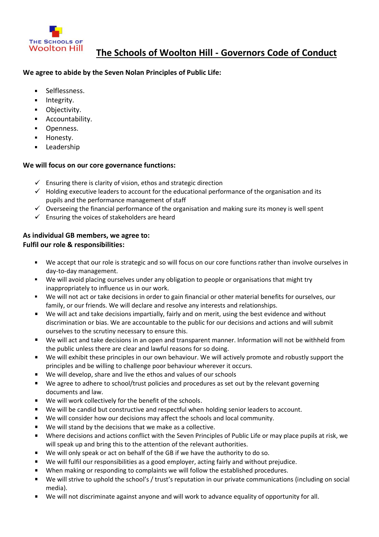

## **We agree to abide by the Seven Nolan Principles of Public Life:**

- $\blacksquare$ Selflessness.
- Integrity.  $\blacksquare$
- Objectivity.  $\blacksquare$
- Accountability.  $\blacksquare$
- $\blacksquare$ Openness.
- $\blacksquare$ Honesty.
- Leadership

# **We will focus on our core governance functions:**

- $\checkmark$  Ensuring there is clarity of vision, ethos and strategic direction
- $\checkmark$  Holding executive leaders to account for the educational performance of the organisation and its pupils and the performance management of staff
- $\checkmark$  Overseeing the financial performance of the organisation and making sure its money is well spent
- $\checkmark$  Ensuring the voices of stakeholders are heard

# **As individual GB members, we agree to: Fulfil our role & responsibilities:**

- We accept that our role is strategic and so will focus on our core functions rather than involve ourselves in day-to-day management.
- We will avoid placing ourselves under any obligation to people or organisations that might try inappropriately to influence us in our work.
- We will not act or take decisions in order to gain financial or other material benefits for ourselves, our family, or our friends. We will declare and resolve any interests and relationships.
- We will act and take decisions impartially, fairly and on merit, using the best evidence and without discrimination or bias. We are accountable to the public for our decisions and actions and will submit ourselves to the scrutiny necessary to ensure this.
- We will act and take decisions in an open and transparent manner. Information will not be withheld from the public unless there are clear and lawful reasons for so doing.
- We will exhibit these principles in our own behaviour. We will actively promote and robustly support the principles and be willing to challenge poor behaviour wherever it occurs.
- We will develop, share and live the ethos and values of our schools
- We agree to adhere to school/trust policies and procedures as set out by the relevant governing documents and law.
- We will work collectively for the benefit of the schools.  $\blacksquare$
- We will be candid but constructive and respectful when holding senior leaders to account.  $\blacksquare$
- We will consider how our decisions may affect the schools and local community.
- We will stand by the decisions that we make as a collective.  $\blacksquare$
- $\blacksquare$ Where decisions and actions conflict with the Seven Principles of Public Life or may place pupils at risk, we will speak up and bring this to the attention of the relevant authorities.
- $\blacksquare$ We will only speak or act on behalf of the GB if we have the authority to do so.
- We will fulfil our responsibilities as a good employer, acting fairly and without prejudice.  $\blacksquare$
- $\blacksquare$ When making or responding to complaints we will follow the established procedures.
- $\blacksquare$ We will strive to uphold the school's / trust's reputation in our private communications (including on social media).
- We will not discriminate against anyone and will work to advance equality of opportunity for all.